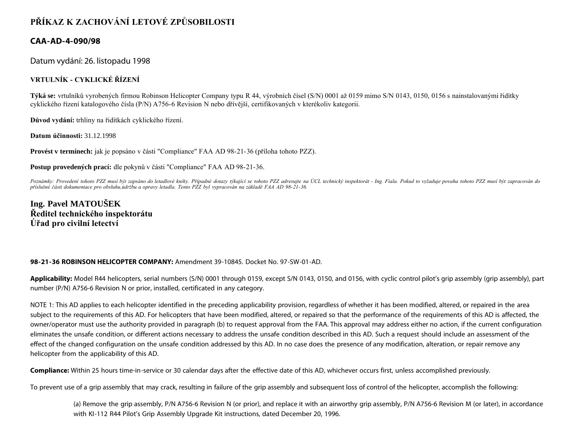# **PŘÍKAZ K ZACHOVÁNÍ LETOVÉ ZPŮSOBILOSTI**

### **CAA-AD-4-090/98**

Datum vydání: 26. listopadu 1998

#### **VRTULNÍK - CYKLICKÉ ŘÍZENÍ**

**Týká se:** vrtulníků vyrobených firmou Robinson Helicopter Company typu R 44, výrobních čísel (S/N) 0001 až 0159 mimo S/N 0143, 0150, 0156 s nainstalovanými řidítky cyklického řízení katalogového čísla (P/N) A756-6 Revision N nebo dřívější, certifikovaných v kterékoliv kategorii.

**Důvod vydání:** trhliny na řidítkách cyklického řízení.

**Datum účinnosti:** 31.12.1998

**Provést v termínech:** jak je popsáno v části "Compliance" FAA AD 98-21-36 (příloha tohoto PZZ).

**Postup provedených prací:** dle pokynů v části "Compliance" FAA AD 98-21-36.

Poznámky: Provedení tohoto PZZ musí být zapsáno do letadlové knihy. Případné dotazy týkající se tohoto PZZ adresujte na ÚCL technický inspektorát - Ing. Fiala. Pokud to vyžaduje povaha tohoto PZZ musí být zapracován do *příslušné části dokumentace pro obsluhu,údržbu a opravy letadla. Tento PZZ byl vypracován na základě FAA AD 98-21-36.*

## **Ing. Pavel MATOUŠEK Ředitel technického inspektorátu Úřad pro civilní letectví**

#### **98-21-36 ROBINSON HELICOPTER COMPANY:** Amendment 39-10845. Docket No. 97-SW-01-AD.

**Applicability:** Model R44 helicopters, serial numbers (S/N) 0001 through 0159, except S/N 0143, 0150, and 0156, with cyclic control pilot's grip assembly (grip assembly), part number (P/N) A756-6 Revision N or prior, installed, certificated in any category.

NOTE 1: This AD applies to each helicopter identified in the preceding applicability provision, regardless of whether it has been modified, altered, or repaired in the area subject to the requirements of this AD. For helicopters that have been modified, altered, or repaired so that the performance of the requirements of this AD is affected, the owner/operator must use the authority provided in paragraph (b) to request approval from the FAA. This approval may address either no action, if the current configuration eliminates the unsafe condition, or different actions necessary to address the unsafe condition described in this AD. Such a request should include an assessment of the effect of the changed configuration on the unsafe condition addressed by this AD. In no case does the presence of any modification, alteration, or repair remove any helicopter from the applicability of this AD.

**Compliance:** Within 25 hours time-in-service or 30 calendar days after the effective date of this AD, whichever occurs first, unless accomplished previously.

To prevent use of a grip assembly that may crack, resulting in failure of the grip assembly and subsequent loss of control of the helicopter, accomplish the following:

(a) Remove the grip assembly, P/N A756-6 Revision N (or prior), and replace it with an airworthy grip assembly, P/N A756-6 Revision M (or later), in accordance with KI-112 R44 Pilot's Grip Assembly Upgrade Kit instructions, dated December 20, 1996.